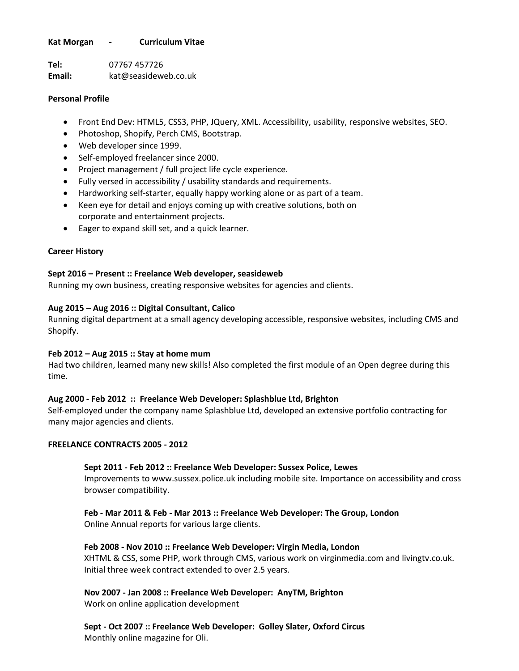### **Kat Morgan - Curriculum Vitae**

**Tel:** 07767 457726 **Email:** kat@seasideweb.co.uk

### **Personal Profile**

- Front End Dev: HTML5, CSS3, PHP, JQuery, XML. Accessibility, usability, responsive websites, SEO.
- Photoshop, Shopify, Perch CMS, Bootstrap.
- Web developer since 1999.
- Self-employed freelancer since 2000.
- Project management / full project life cycle experience.
- Fully versed in accessibility / usability standards and requirements.
- Hardworking self-starter, equally happy working alone or as part of a team.
- Keen eye for detail and enjoys coming up with creative solutions, both on corporate and entertainment projects.
- Eager to expand skill set, and a quick learner.

# **Career History**

### **Sept 2016 – Present :: Freelance Web developer, seasideweb**

Running my own business, creating responsive websites for agencies and clients.

### **Aug 2015 – Aug 2016 :: Digital Consultant, Calico**

Running digital department at a small agency developing accessible, responsive websites, including CMS and Shopify.

### **Feb 2012 – Aug 2015 :: Stay at home mum**

Had two children, learned many new skills! Also completed the first module of an Open degree during this time.

# **Aug 2000 - Feb 2012 :: Freelance Web Developer: Splashblue Ltd, Brighton**

Self-employed under the company name Splashblue Ltd, developed an extensive portfolio contracting for many major agencies and clients.

### **FREELANCE CONTRACTS 2005 - 2012**

### **Sept 2011 - Feb 2012 :: Freelance Web Developer: Sussex Police, Lewes**

Improvements to www.sussex.police.uk including mobile site. Importance on accessibility and cross browser compatibility.

# **Feb - Mar 2011 & Feb - Mar 2013 :: Freelance Web Developer: The Group, London**

Online Annual reports for various large clients.

# **Feb 2008 - Nov 2010 :: Freelance Web Developer: Virgin Media, London**

XHTML & CSS, some PHP, work through CMS, various work on virginmedia.com and livingtv.co.uk. Initial three week contract extended to over 2.5 years.

# **Nov 2007 - Jan 2008 :: Freelance Web Developer: AnyTM, Brighton**

Work on online application development

**Sept - Oct 2007 :: Freelance Web Developer: Golley Slater, Oxford Circus** Monthly online magazine for Oli.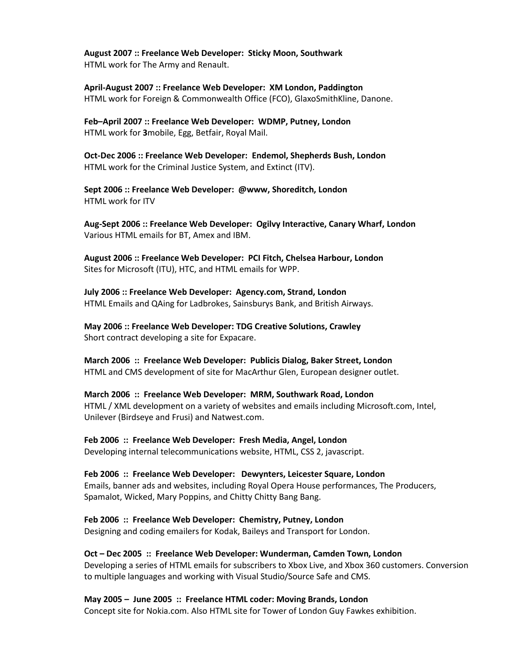**August 2007 :: Freelance Web Developer: Sticky Moon, Southwark** HTML work for The Army and Renault.

**April-August 2007 :: Freelance Web Developer: XM London, Paddington** HTML work for Foreign & Commonwealth Office (FCO), GlaxoSmithKline, Danone.

**Feb–April 2007 :: Freelance Web Developer: WDMP, Putney, London** HTML work for **3**mobile, Egg, Betfair, Royal Mail.

**Oct-Dec 2006 :: Freelance Web Developer: Endemol, Shepherds Bush, London** HTML work for the Criminal Justice System, and Extinct (ITV).

**Sept 2006 :: Freelance Web Developer: @www, Shoreditch, London** HTML work for ITV

**Aug-Sept 2006 :: Freelance Web Developer: Ogilvy Interactive, Canary Wharf, London** Various HTML emails for BT, Amex and IBM.

**August 2006 :: Freelance Web Developer: PCI Fitch, Chelsea Harbour, London** Sites for Microsoft (ITU), HTC, and HTML emails for WPP.

**July 2006 :: Freelance Web Developer: Agency.com, Strand, London** HTML Emails and QAing for Ladbrokes, Sainsburys Bank, and British Airways.

**May 2006 :: Freelance Web Developer: TDG Creative Solutions, Crawley** Short contract developing a site for Expacare.

**March 2006 :: Freelance Web Developer: Publicis Dialog, Baker Street, London** HTML and CMS development of site for MacArthur Glen, European designer outlet.

**March 2006 :: Freelance Web Developer: MRM, Southwark Road, London** HTML / XML development on a variety of websites and emails including Microsoft.com, Intel, Unilever (Birdseye and Frusi) and Natwest.com.

**Feb 2006 :: Freelance Web Developer: Fresh Media, Angel, London** Developing internal telecommunications website, HTML, CSS 2, javascript.

**Feb 2006 :: Freelance Web Developer: Dewynters, Leicester Square, London** Emails, banner ads and websites, including Royal Opera House performances, The Producers, Spamalot, Wicked, Mary Poppins, and Chitty Chitty Bang Bang.

**Feb 2006 :: Freelance Web Developer: Chemistry, Putney, London** Designing and coding emailers for Kodak, Baileys and Transport for London.

**Oct – Dec 2005 :: Freelance Web Developer: Wunderman, Camden Town, London** Developing a series of HTML emails for subscribers to Xbox Live, and Xbox 360 customers. Conversion to multiple languages and working with Visual Studio/Source Safe and CMS.

**May 2005 – June 2005 :: Freelance HTML coder: Moving Brands, London** Concept site for Nokia.com. Also HTML site for Tower of London Guy Fawkes exhibition.